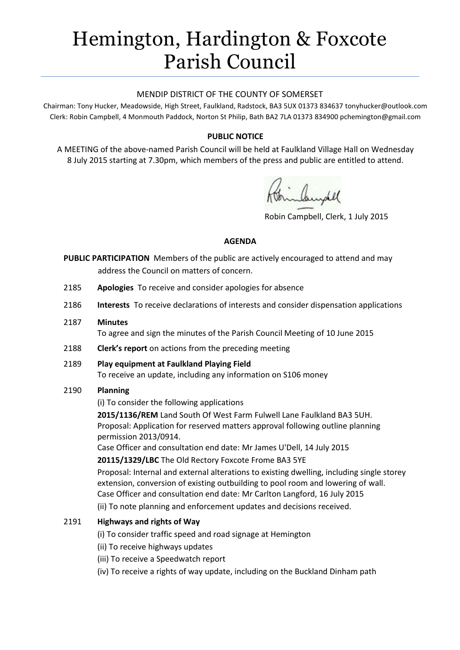# Hemington, Hardington & Foxcote Parish Council

#### MENDIP DISTRICT OF THE COUNTY OF SOMERSET

Chairman: Tony Hucker, Meadowside, High Street, Faulkland, Radstock, BA3 5UX 01373 834637 tonyhucker@outlook.com Clerk: Robin Campbell, 4 Monmouth Paddock, Norton St Philip, Bath BA2 7LA 01373 834900 [pchemington@gmail.com](mailto:pchemington@gmail.com)

# **PUBLIC NOTICE**

A MEETING of the above-named Parish Council will be held at Faulkland Village Hall on Wednesday 8 July 2015 starting at 7.30pm, which members of the press and public are entitled to attend.

Robin Campbell, Clerk, 1 July 2015

#### **AGENDA**

- **PUBLIC PARTICIPATION** Members of the public are actively encouraged to attend and may address the Council on matters of concern.
- 2185 **Apologies** To receive and consider apologies for absence
- 2186 **Interests** To receive declarations of interests and consider dispensation applications
- 2187 **Minutes**

To agree and sign the minutes of the Parish Council Meeting of 10 June 2015

- 2188 **Clerk's report** on actions from the preceding meeting
- 2189 **Play equipment at Faulkland Playing Field** To receive an update, including any information on S106 money

# 2190 **Planning**

(i) To consider the following applications

**2015/1136/REM** Land South Of West Farm Fulwell Lane Faulkland BA3 5UH. Proposal: Application for reserved matters approval following outline planning permission 2013/0914.

Case Officer and consultation end date: Mr James U'Dell, 14 July 2015

**20115/1329/LBC** The Old Rectory Foxcote Frome BA3 5YE

Proposal: Internal and external alterations to existing dwelling, including single storey extension, conversion of existing outbuilding to pool room and lowering of wall. Case Officer and consultation end date: Mr Carlton Langford, 16 July 2015

(ii) To note planning and enforcement updates and decisions received.

# 2191 **Highways and rights of Way**

- (i) To consider traffic speed and road signage at Hemington
- (ii) To receive highways updates
- (iii) To receive a Speedwatch report
- (iv) To receive a rights of way update, including on the Buckland Dinham path